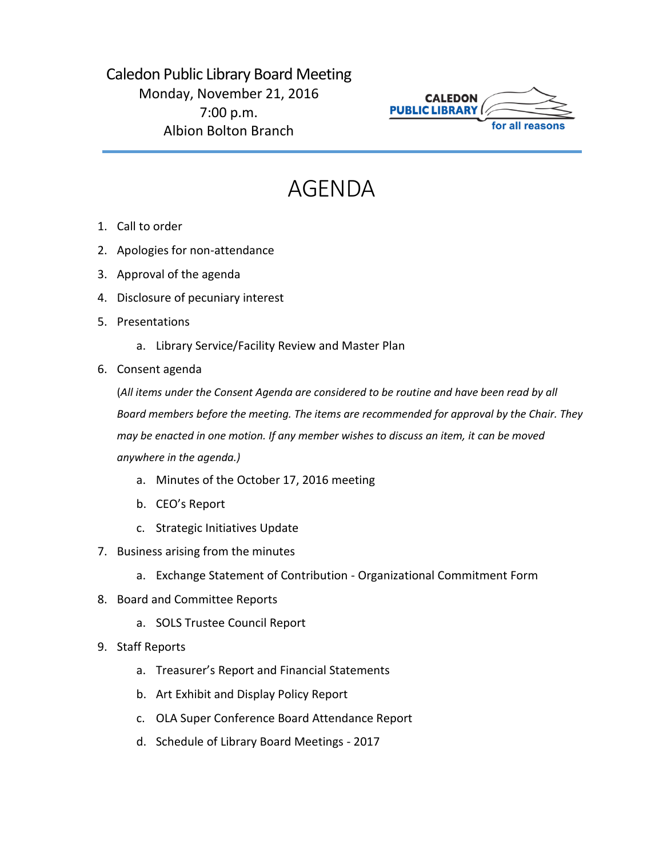## Caledon Public Library Board Meeting Monday, November 21, 2016 7:00 p.m. Albion Bolton Branch



## AGENDA

- 1. Call to order
- 2. Apologies for non-attendance
- 3. Approval of the agenda
- 4. Disclosure of pecuniary interest
- 5. Presentations
	- a. Library Service/Facility Review and Master Plan
- 6. Consent agenda

(*All items under the Consent Agenda are considered to be routine and have been read by all Board members before the meeting. The items are recommended for approval by the Chair. They may be enacted in one motion. If any member wishes to discuss an item, it can be moved anywhere in the agenda.)*

- a. Minutes of the October 17, 2016 meeting
- b. CEO's Report
- c. Strategic Initiatives Update
- 7. Business arising from the minutes
	- a. Exchange Statement of Contribution Organizational Commitment Form
- 8. Board and Committee Reports
	- a. SOLS Trustee Council Report
- 9. Staff Reports
	- a. Treasurer's Report and Financial Statements
	- b. Art Exhibit and Display Policy Report
	- c. OLA Super Conference Board Attendance Report
	- d. Schedule of Library Board Meetings 2017